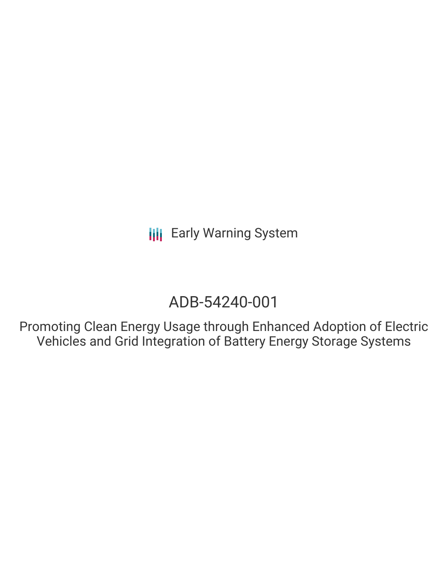# ADB-54240-001

Promoting Clean Energy Usage through Enhanced Adoption of Electric Vehicles and Grid Integration of Battery Energy Storage Systems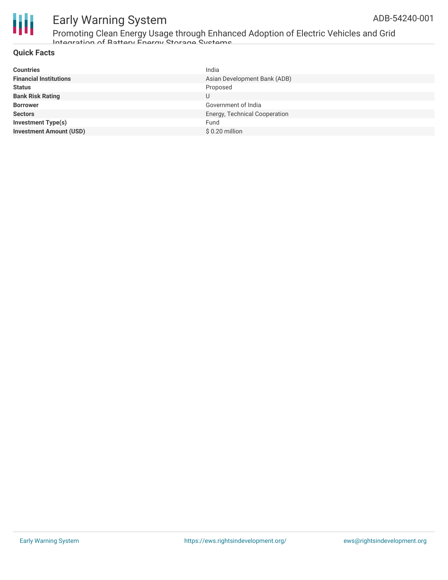

Promoting Clean Energy Usage through Enhanced Adoption of Electric Vehicles and Grid Integration of Battery Energy Storage Systems

#### **Quick Facts**

| <b>Countries</b>               | India                         |
|--------------------------------|-------------------------------|
| <b>Financial Institutions</b>  | Asian Development Bank (ADB)  |
| <b>Status</b>                  | Proposed                      |
| <b>Bank Risk Rating</b>        | U                             |
| <b>Borrower</b>                | Government of India           |
| <b>Sectors</b>                 | Energy, Technical Cooperation |
| Investment Type(s)             | Fund                          |
| <b>Investment Amount (USD)</b> | \$0.20 million                |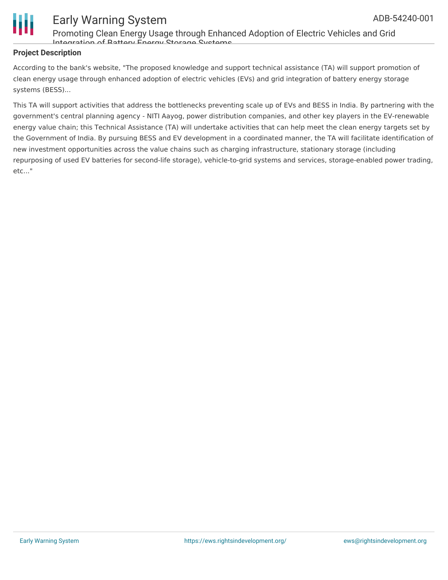

Promoting Clean Energy Usage through Enhanced Adoption of Electric Vehicles and Grid Integration of Rattery Energy Storage Systems

#### **Project Description**

According to the bank's website, "The proposed knowledge and support technical assistance (TA) will support promotion of clean energy usage through enhanced adoption of electric vehicles (EVs) and grid integration of battery energy storage systems (BESS)...

This TA will support activities that address the bottlenecks preventing scale up of EVs and BESS in India. By partnering with the government's central planning agency - NITI Aayog, power distribution companies, and other key players in the EV-renewable energy value chain; this Technical Assistance (TA) will undertake activities that can help meet the clean energy targets set by the Government of India. By pursuing BESS and EV development in a coordinated manner, the TA will facilitate identification of new investment opportunities across the value chains such as charging infrastructure, stationary storage (including repurposing of used EV batteries for second-life storage), vehicle-to-grid systems and services, storage-enabled power trading, etc..."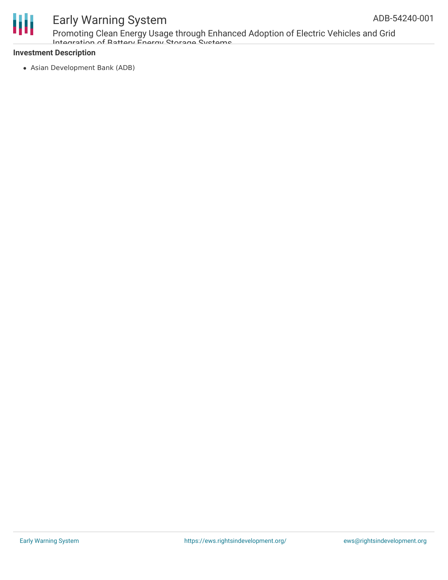

Promoting Clean Energy Usage through Enhanced Adoption of Electric Vehicles and Grid Integration of Battery Energy Storage Systems

#### **Investment Description**

Asian Development Bank (ADB)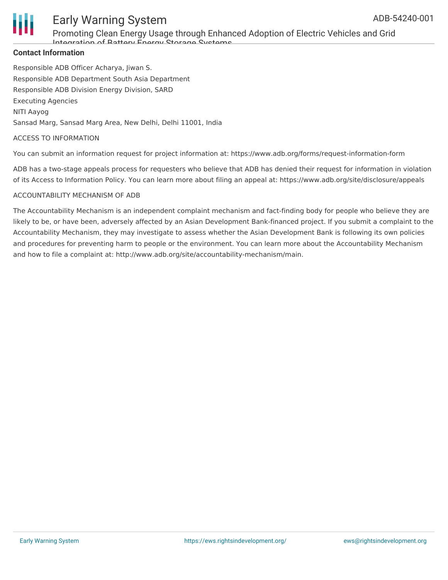

Promoting Clean Energy Usage through Enhanced Adoption of Electric Vehicles and Grid Integration of Battery Energy Storage Systems

#### **Contact Information**

Responsible ADB Officer Acharya, Jiwan S. Responsible ADB Department South Asia Department Responsible ADB Division Energy Division, SARD Executing Agencies NITI Aayog Sansad Marg, Sansad Marg Area, New Delhi, Delhi 11001, India

#### ACCESS TO INFORMATION

You can submit an information request for project information at: https://www.adb.org/forms/request-information-form

ADB has a two-stage appeals process for requesters who believe that ADB has denied their request for information in violation of its Access to Information Policy. You can learn more about filing an appeal at: https://www.adb.org/site/disclosure/appeals

#### ACCOUNTABILITY MECHANISM OF ADB

The Accountability Mechanism is an independent complaint mechanism and fact-finding body for people who believe they are likely to be, or have been, adversely affected by an Asian Development Bank-financed project. If you submit a complaint to the Accountability Mechanism, they may investigate to assess whether the Asian Development Bank is following its own policies and procedures for preventing harm to people or the environment. You can learn more about the Accountability Mechanism and how to file a complaint at: http://www.adb.org/site/accountability-mechanism/main.